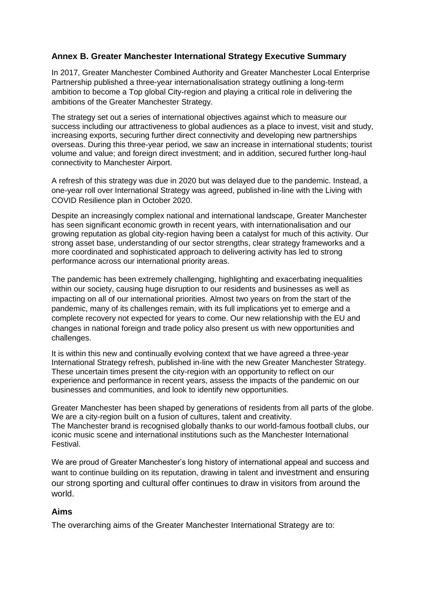## **Annex B. Greater Manchester International Strategy Executive Summary**

In 2017, Greater Manchester Combined Authority and Greater Manchester Local Enterprise Partnership published a three-year internationalisation strategy outlining a long-term ambition to become a Top global City-region and playing a critical role in delivering the ambitions of the Greater Manchester Strategy.

The strategy set out a series of international objectives against which to measure our success including our attractiveness to global audiences as a place to invest, visit and study, increasing exports, securing further direct connectivity and developing new partnerships overseas. During this three-year period, we saw an increase in international students; tourist volume and value; and foreign direct investment; and in addition, secured further long-haul connectivity to Manchester Airport.

A refresh of this strategy was due in 2020 but was delayed due to the pandemic. Instead, a one-year roll over International Strategy was agreed, published in-line with the Living with COVID Resilience plan in October 2020.

Despite an increasingly complex national and international landscape, Greater Manchester has seen significant economic growth in recent years, with internationalisation and our growing reputation as global city-region having been a catalyst for much of this activity. Our strong asset base, understanding of our sector strengths, clear strategy frameworks and a more coordinated and sophisticated approach to delivering activity has led to strong performance across our international priority areas.

The pandemic has been extremely challenging, highlighting and exacerbating inequalities within our society, causing huge disruption to our residents and businesses as well as impacting on all of our international priorities. Almost two years on from the start of the pandemic, many of its challenges remain, with its full implications yet to emerge and a complete recovery not expected for years to come. Our new relationship with the EU and changes in national foreign and trade policy also present us with new opportunities and challenges.

It is within this new and continually evolving context that we have agreed a three-year International Strategy refresh, published in-line with the new Greater Manchester Strategy. These uncertain times present the city-region with an opportunity to reflect on our experience and performance in recent years, assess the impacts of the pandemic on our businesses and communities, and look to identify new opportunities.

Greater Manchester has been shaped by generations of residents from all parts of the globe. We are a city-region built on a fusion of cultures, talent and creativity. The Manchester brand is recognised globally thanks to our world-famous football clubs, our iconic music scene and international institutions such as the Manchester International Festival.

We are proud of Greater Manchester's long history of international appeal and success and want to continue building on its reputation, drawing in talent and investment and ensuring our strong sporting and cultural offer continues to draw in visitors from around the world.

## **Aims**

The overarching aims of the Greater Manchester International Strategy are to: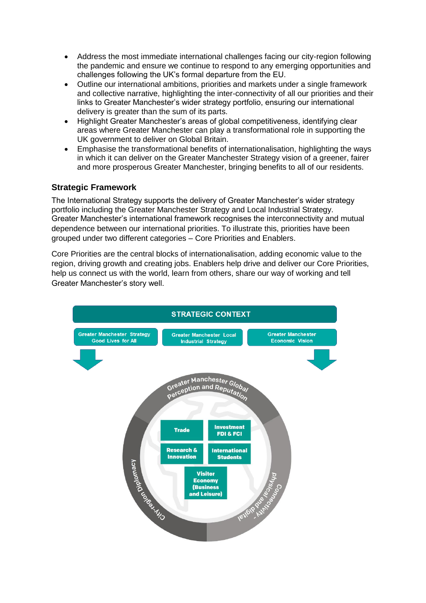- Address the most immediate international challenges facing our city-region following the pandemic and ensure we continue to respond to any emerging opportunities and challenges following the UK's formal departure from the EU.
- Outline our international ambitions, priorities and markets under a single framework and collective narrative, highlighting the inter-connectivity of all our priorities and their links to Greater Manchester's wider strategy portfolio, ensuring our international delivery is greater than the sum of its parts.
- Highlight Greater Manchester's areas of global competitiveness, identifying clear areas where Greater Manchester can play a transformational role in supporting the UK government to deliver on Global Britain.
- Emphasise the transformational benefits of internationalisation, highlighting the ways in which it can deliver on the Greater Manchester Strategy vision of a greener, fairer and more prosperous Greater Manchester, bringing benefits to all of our residents.

## **Strategic Framework**

The International Strategy supports the delivery of Greater Manchester's wider strategy portfolio including the Greater Manchester Strategy and Local Industrial Strategy. Greater Manchester's international framework recognises the interconnectivity and mutual dependence between our international priorities. To illustrate this, priorities have been grouped under two different categories – Core Priorities and Enablers.

Core Priorities are the central blocks of internationalisation, adding economic value to the region, driving growth and creating jobs. Enablers help drive and deliver our Core Priorities, help us connect us with the world, learn from others, share our way of working and tell Greater Manchester's story well.

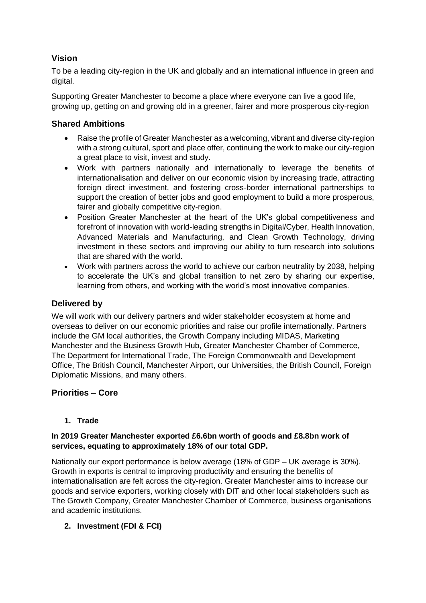# **Vision**

To be a leading city-region in the UK and globally and an international influence in green and digital.

Supporting Greater Manchester to become a place where everyone can live a good life, growing up, getting on and growing old in a greener, fairer and more prosperous city-region

# **Shared Ambitions**

- Raise the profile of Greater Manchester as a welcoming, vibrant and diverse city-region with a strong cultural, sport and place offer, continuing the work to make our city-region a great place to visit, invest and study.
- Work with partners nationally and internationally to leverage the benefits of internationalisation and deliver on our economic vision by increasing trade, attracting foreign direct investment, and fostering cross-border international partnerships to support the creation of better jobs and good employment to build a more prosperous, fairer and globally competitive city-region.
- Position Greater Manchester at the heart of the UK's global competitiveness and forefront of innovation with world-leading strengths in Digital/Cyber, Health Innovation, Advanced Materials and Manufacturing, and Clean Growth Technology, driving investment in these sectors and improving our ability to turn research into solutions that are shared with the world.
- Work with partners across the world to achieve our carbon neutrality by 2038, helping to accelerate the UK's and global transition to net zero by sharing our expertise, learning from others, and working with the world's most innovative companies.

# **Delivered by**

We will work with our delivery partners and wider stakeholder ecosystem at home and overseas to deliver on our economic priorities and raise our profile internationally. Partners include the GM local authorities, the Growth Company including MIDAS, Marketing Manchester and the Business Growth Hub, Greater Manchester Chamber of Commerce, The Department for International Trade, The Foreign Commonwealth and Development Office, The British Council, Manchester Airport, our Universities, the British Council, Foreign Diplomatic Missions, and many others.

# **Priorities – Core**

## **1. Trade**

## **In 2019 Greater Manchester exported £6.6bn worth of goods and £8.8bn work of services, equating to approximately 18% of our total GDP.**

Nationally our export performance is below average (18% of GDP – UK average is 30%). Growth in exports is central to improving productivity and ensuring the benefits of internationalisation are felt across the city-region. Greater Manchester aims to increase our goods and service exporters, working closely with DIT and other local stakeholders such as The Growth Company, Greater Manchester Chamber of Commerce, business organisations and academic institutions.

# **2. Investment (FDI & FCI)**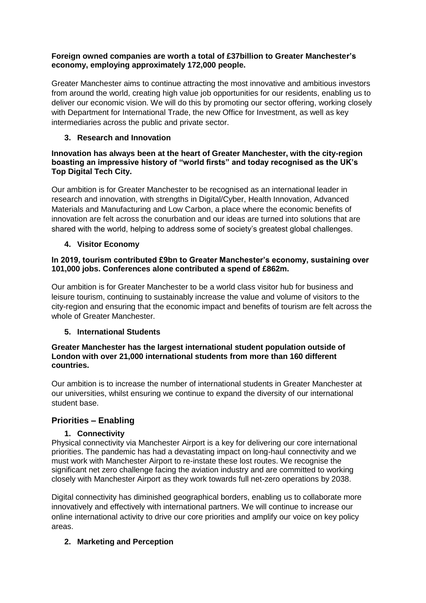#### **Foreign owned companies are worth a total of £37billion to Greater Manchester's economy, employing approximately 172,000 people.**

Greater Manchester aims to continue attracting the most innovative and ambitious investors from around the world, creating high value job opportunities for our residents, enabling us to deliver our economic vision. We will do this by promoting our sector offering, working closely with Department for International Trade, the new Office for Investment, as well as key intermediaries across the public and private sector.

## **3. Research and Innovation**

#### **Innovation has always been at the heart of Greater Manchester, with the city-region boasting an impressive history of "world firsts" and today recognised as the UK's Top Digital Tech City.**

Our ambition is for Greater Manchester to be recognised as an international leader in research and innovation, with strengths in Digital/Cyber, Health Innovation, Advanced Materials and Manufacturing and Low Carbon, a place where the economic benefits of innovation are felt across the conurbation and our ideas are turned into solutions that are shared with the world, helping to address some of society's greatest global challenges.

# **4. Visitor Economy**

#### **In 2019, tourism contributed £9bn to Greater Manchester's economy, sustaining over 101,000 jobs. Conferences alone contributed a spend of £862m.**

Our ambition is for Greater Manchester to be a world class visitor hub for business and leisure tourism, continuing to sustainably increase the value and volume of visitors to the city-region and ensuring that the economic impact and benefits of tourism are felt across the whole of Greater Manchester.

## **5. International Students**

#### **Greater Manchester has the largest international student population outside of London with over 21,000 international students from more than 160 different countries.**

Our ambition is to increase the number of international students in Greater Manchester at our universities, whilst ensuring we continue to expand the diversity of our international student base.

# **Priorities – Enabling**

## **1. Connectivity**

Physical connectivity via Manchester Airport is a key for delivering our core international priorities. The pandemic has had a devastating impact on long-haul connectivity and we must work with Manchester Airport to re-instate these lost routes. We recognise the significant net zero challenge facing the aviation industry and are committed to working closely with Manchester Airport as they work towards full net-zero operations by 2038.

Digital connectivity has diminished geographical borders, enabling us to collaborate more innovatively and effectively with international partners. We will continue to increase our online international activity to drive our core priorities and amplify our voice on key policy areas.

## **2. Marketing and Perception**